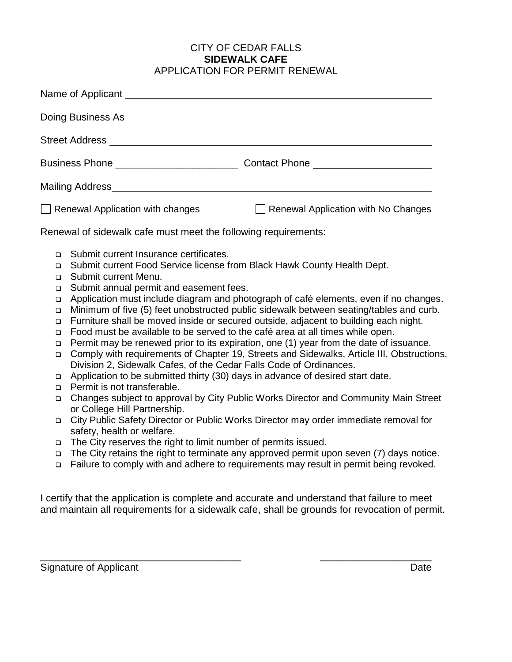## CITY OF CEDAR FALLS **SIDEWALK CAFE** APPLICATION FOR PERMIT RENEWAL

| Name of Applicant Manual Accounts and Applicant                                                                                                                                                                                                                                                                                                                                                                                                                                                                                                                                                                                                                                                                                                                                                                                                                                                                                                                                                                                                                                                                                                                                                                                                                                                                                                                                                                                                                                                                                                                                                    |                                         |                                     |
|----------------------------------------------------------------------------------------------------------------------------------------------------------------------------------------------------------------------------------------------------------------------------------------------------------------------------------------------------------------------------------------------------------------------------------------------------------------------------------------------------------------------------------------------------------------------------------------------------------------------------------------------------------------------------------------------------------------------------------------------------------------------------------------------------------------------------------------------------------------------------------------------------------------------------------------------------------------------------------------------------------------------------------------------------------------------------------------------------------------------------------------------------------------------------------------------------------------------------------------------------------------------------------------------------------------------------------------------------------------------------------------------------------------------------------------------------------------------------------------------------------------------------------------------------------------------------------------------------|-----------------------------------------|-------------------------------------|
| Doing Business As <u>example and the set of the set of the set of the set of the set of the set of the set of the set of the set of the set of the set of the set of the set of the set of the set of the set of the set of the </u>                                                                                                                                                                                                                                                                                                                                                                                                                                                                                                                                                                                                                                                                                                                                                                                                                                                                                                                                                                                                                                                                                                                                                                                                                                                                                                                                                               |                                         |                                     |
| Street Address <b>Executive Street Address</b>                                                                                                                                                                                                                                                                                                                                                                                                                                                                                                                                                                                                                                                                                                                                                                                                                                                                                                                                                                                                                                                                                                                                                                                                                                                                                                                                                                                                                                                                                                                                                     |                                         |                                     |
|                                                                                                                                                                                                                                                                                                                                                                                                                                                                                                                                                                                                                                                                                                                                                                                                                                                                                                                                                                                                                                                                                                                                                                                                                                                                                                                                                                                                                                                                                                                                                                                                    |                                         |                                     |
|                                                                                                                                                                                                                                                                                                                                                                                                                                                                                                                                                                                                                                                                                                                                                                                                                                                                                                                                                                                                                                                                                                                                                                                                                                                                                                                                                                                                                                                                                                                                                                                                    |                                         |                                     |
|                                                                                                                                                                                                                                                                                                                                                                                                                                                                                                                                                                                                                                                                                                                                                                                                                                                                                                                                                                                                                                                                                                                                                                                                                                                                                                                                                                                                                                                                                                                                                                                                    | $\Box$ Renewal Application with changes | Renewal Application with No Changes |
| Renewal of sidewalk cafe must meet the following requirements:                                                                                                                                                                                                                                                                                                                                                                                                                                                                                                                                                                                                                                                                                                                                                                                                                                                                                                                                                                                                                                                                                                                                                                                                                                                                                                                                                                                                                                                                                                                                     |                                         |                                     |
| Submit current Insurance certificates.<br>$\Box$<br>Submit current Food Service license from Black Hawk County Health Dept.<br>$\Box$<br>Submit current Menu.<br>□<br>Submit annual permit and easement fees.<br>$\Box$<br>Application must include diagram and photograph of café elements, even if no changes.<br>$\Box$<br>Minimum of five (5) feet unobstructed public sidewalk between seating/tables and curb.<br>O.<br>Furniture shall be moved inside or secured outside, adjacent to building each night.<br>$\Box$<br>Food must be available to be served to the café area at all times while open.<br>$\Box$<br>Permit may be renewed prior to its expiration, one (1) year from the date of issuance.<br>$\Box$<br>Comply with requirements of Chapter 19, Streets and Sidewalks, Article III, Obstructions,<br>$\Box$<br>Division 2, Sidewalk Cafes, of the Cedar Falls Code of Ordinances.<br>Application to be submitted thirty (30) days in advance of desired start date.<br>$\Box$<br>Permit is not transferable.<br>$\Box$<br>Changes subject to approval by City Public Works Director and Community Main Street<br>$\Box$<br>or College Hill Partnership.<br>City Public Safety Director or Public Works Director may order immediate removal for<br>$\Box$<br>safety, health or welfare.<br>The City reserves the right to limit number of permits issued.<br>$\Box$<br>The City retains the right to terminate any approved permit upon seven (7) days notice.<br>$\Box$<br>Failure to comply with and adhere to requirements may result in permit being revoked.<br>$\Box$ |                                         |                                     |
| I certify that the application is complete and accurate and understand that failure to meet<br>and maintain all requirements for a sidewalk cafe, shall be grounds for revocation of permit.                                                                                                                                                                                                                                                                                                                                                                                                                                                                                                                                                                                                                                                                                                                                                                                                                                                                                                                                                                                                                                                                                                                                                                                                                                                                                                                                                                                                       |                                         |                                     |

\_\_\_\_\_\_\_\_\_\_\_\_\_\_\_\_\_\_\_\_\_\_\_\_\_\_\_\_\_\_\_\_\_\_\_\_ \_\_\_\_\_\_\_\_\_\_\_\_\_\_\_\_\_\_\_\_

Signature of Applicant Date